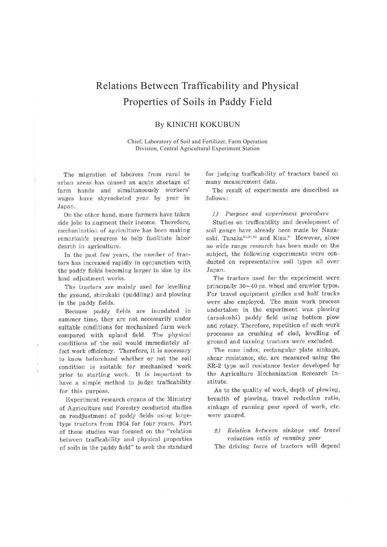# Relations Between Trafficability and Physical Properties of Soils in Paddy Field

## By KINICHI KOKUBUN

Chief, Laboratory of Soil and Fertilizer, Farm Operation Division, Central Agricultural Experiment Station

The migration of laborers from rural to urban areas has caused an acute shortage of farm hands and simultaneously workers' wages have skyrocketed year by year in Japan.

On the other hand, more farmers have taken side jobs to augment their income. Therefore, mechanization of agriculture has been making remarkab!e progress to help facilitate labor dearth in agriculture.

In the past few years, the number of tractors has increased rapidly in conjunction with the paddy fields becoming larger in size by its· land adjustment works.

The tractors are mainly used for levelling the ground, shirokaki (puddling) and plowing in the paddy fields.

Because paddy fields are inundated in summer time, they are not necessarily under suitable conditions for mechanized farm work compared with upland field. The physical conditions of the soil would immediately affect work efficiency. Therefore, it is necessary to know beforehand whether or not the soil condition is suitable for mechanized work prior to starting work. It is important to have a simple method to judge trafficability . for this purpose.

Experiment research organs of the Ministry of Agriculture and Forestry conducted studies on readjustment of paddy fields using largetype tractors from 1964 for four years. Part of these studies was focused on the "relation between trafficability and physical properties of soils in the paddy field" to seek the standard for judging trafficability of tractors based on many measurement data.

The result of experiments are described as follows:

#### *1) Purpose and experiment procedure*

Studies on trafficability and development of soil gauge have already been made by Nagasaki, Tanaka $^{33,43,5)}$  and Kisu.<sup>2)</sup> However, since no wide range research has been made on the subject, the following experiments were conducted on representative soil types all over Japan.

The tractors used for the experiment were principally 30-40 ps. wheel and crawler types. For travel equipment girdles and half trucks were also employed. The main work process undertaken in the experiment was plowing (araokoshi) paddy field using bottom plow and rotary. Therefore, repetition of such work processes as crushing of clod, levelling of ground and turning tractors were excluded.

The cone index, rectangular plate sinkage, shear resistance, etc. are measured using the SR-2 type soil resistance tester developed by the Agriculture Mechanization Research· Institute.

As to the quality of work, depth of plowing, breadth of plowing, travel reduction ratio, sinkage of running gear speed of work, etc. were gauged.

*2) Relation between sinkage and travel reduction ratio of running gear* 

The driving force of tractors will depend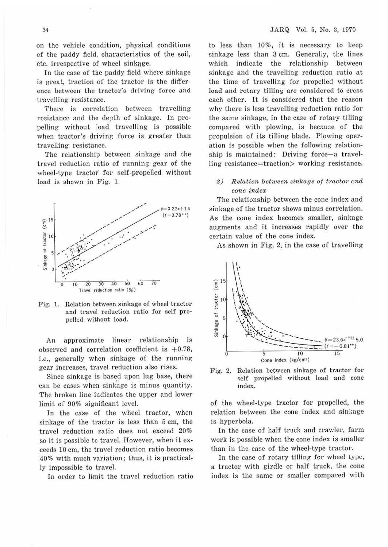on the vehicle condition, physical conditions of the paddy field, characteristics of the soil, etc. irrespective of wheel sinkage.

In the case of the paddy field where sinkage is great, traction of the tractor is the difference between the tractor's driving force and travelling resistance.

There is correlation between travelling resistance and the depth of sinkage. In propelling without load travelling is possible when tractor's driving force is greater than travelling resistance.

The relationship between sinkage and the travel reduction ratio of running gear of the wheel-type tractor for self-propelled without load is shown in Fig. 1.



Fig. 1. Relation between sinkage of wheel tractor and travel reduction ratio for self propelled without load.

An approximate linear relationship is observed and correlation coefficient is  $+0.78$ , i.e., generally when sinkage of the running gear increases, travel reduction also rises.

Since sinkage is based upon lug base, there can be cases when sinkage is minus quantity. The broken line indicates the upper and lower limit of 90% significant level.

In the case of the wheel tractor, when sinkage of the tractor is less than 6 cm, the travel reduction ratio does not exceed 20% so it is possible to travel. However, when it exceeds 10 cm, the travel reduction ratio becomes 40% with much variation; thus, it is practically impossible to travel.

In order to limit the travel reduction ratio

to less than 10%, it is necessary to keep sinkage less than 3 cm. Generally, the lines which indicate the relationship between sinkage and the travelling reduction ratio at the time of travelling for propelled without load and rotary tilling are considered to cress each other. It is considered that the reason why there is less travelling reduction ratio for the same sinkage, in the case of rotary tilling compared with plowing, is because of the propulsion of its tilling blade. Plowing operation is possible when the following relationship is maintained: Driving force-a travelling resistance=traction> working resistance.

#### *S*) Relation between sinkage of tractor and *cone index*

The relationship between the cone index and sinkage of the tractor shows minus correlation. As the cone index becomes smaller, sinkage augments and it increases rapidly over the certain value of the cone index.

As shown in Fig. 2, in the case of travelling



Fig. 2. Relation between sinkage of tractor for self propelled without load and cone index.

of the wheel-type tractor for propelled, the relation between the cone index and sinkage is hyperbola.

In the case of half truck and crawler, farm work is possible when the cone index is smaller than in the case of the wheel-type tractor.

In the case of rotary tilling for wheel type, a tractor with girdle or half truck, the cone index is the same or smaller compared with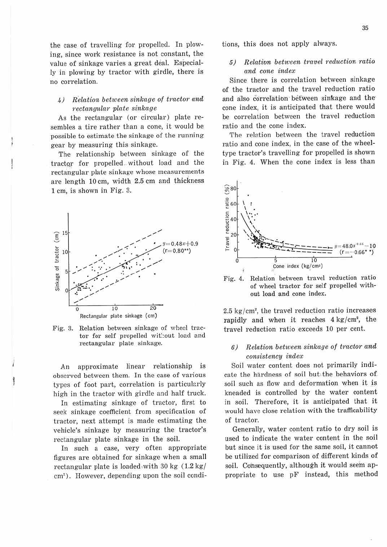### $\mu$ ) Relation between sinkage of tractor and  $rectangular$  plate sinkage

As the rectangular (or circular) plate resembles a tire rather than a cone, it would be possible to estimate the sinkage of the running gear by measuring this sinkage.

The relationship between sinkage of the tractQr for propelled. without load and the rectangular plate sinkage whose measurements are length 10 cm, width 2.5 cm and thickness 1 cm, is shown in Fig. 3.



Fig. 3. Relation between sinkage of wheel tractor for self propelled without load and rectangular plate sinkage.

An approximate linear relationship is observed between them. In the case of various types of foot part, correlation is particularly high in the tractor with girdle and half truck.

In estimating sinkage of tractor, first to seek sinkage coefficient from specification of tractor, next attempt is made estimating the vehicle's sinkage by measuring the tractor's rectangular plate sinkage in the soil.

In such a case, very often appropriate figures are obtained for sinkage when a small rectangular plate is loaded with 30 kg  $(1.2 \text{ kg})$  $cm<sup>2</sup>$ ). However, depending upon the soil conditions, this does not apply always.

## *5) Relation between travel reduction ratio. cind cone index*

Since there is correlation between sinkage of the tractor and the travel reduction ratio and also correlation between sinkage and the cone index, it is anticipated that there would be correlation between the travel reduction ratio and the cone index.

The relation between the travel reduction ratio and cone index, in the case of the wheeltype tractor's travelling for propelled is shown in Fig. 4. When the cone index is less than



Fig. 4. Relation between travel reduction ratio of wheel tractor for self propelled without load and cone index.

 $2.5 \text{ kg/cm}^2$ , the travel reduction ratio increases rapidly and when it reaches  $4 \text{ kg/cm}^2$ , the travel reduction ratio exceeds 10 per cent.

#### *6) Relation between sinlccige of tractor and consistency index*

Soil water content does not primarily indicate the hardness of soil bub the behaviors of. soil such as flow and deformation when it is kneaded is controlled by the water content in soil. Therefore, it is anticipated that it would have close relation with the trafficability of tractor.

Generally, water content ratio to dry soil is used to indicate the water content in the soil but since it is used for the same soil, it cannot be utilized for comparison of different kinds of soil. Consequently, although it would seem appropriate to use pF instead, this method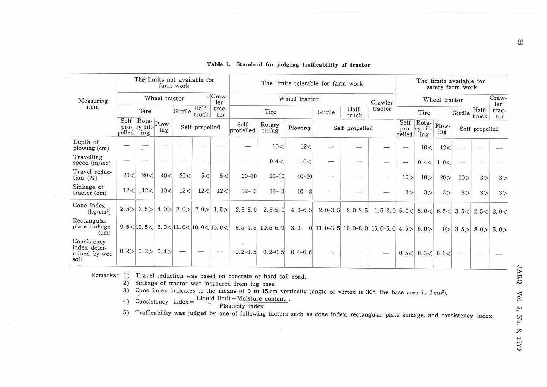| Measuring<br>item                                   | The limits not available for<br>farm work                          |              |      |                                            |                   |              | The limits tolerable for farm work |                        |             |                          |                                                |                                             | The limits available for<br>safety farm work |                          |              |                |                |              |
|-----------------------------------------------------|--------------------------------------------------------------------|--------------|------|--------------------------------------------|-------------------|--------------|------------------------------------|------------------------|-------------|--------------------------|------------------------------------------------|---------------------------------------------|----------------------------------------------|--------------------------|--------------|----------------|----------------|--------------|
|                                                     | Wheel tractor                                                      |              |      |                                            |                   | Craw-<br>ler | Wheel tractor                      |                        |             |                          | Crawler                                        | Wheel tractor                               |                                              |                          |              |                | Craw-<br>ler   |              |
|                                                     | Tire                                                               |              |      | Half-<br>Girdle<br>truck<br>Self propelled |                   | trac-<br>tor | Tire                               |                        |             | Girdle                   | Half-<br>truck                                 | tractor                                     |                                              | Tire                     |              | Girdle         | Half-<br>truck | trac-<br>tor |
|                                                     | Self<br>Rota-<br>Plow-<br>ry till-<br>pro-<br>ing<br>pelled<br>ing |              |      |                                            |                   |              | Self<br>propelled                  | Rotary<br>tilling      | Plowing     |                          | Self propelled                                 |                                             | Self<br>pro-<br>pelled                       | Rota-<br>ry till-<br>ing | Plow-<br>ing | Self propelled |                |              |
| Depth of<br>plowing (cm)                            |                                                                    | ×            |      |                                            |                   |              |                                    | 10<                    | 12<         | نت                       | $\overline{\phantom{a}}$                       |                                             |                                              | 10<                      | 12<          |                |                |              |
| Travelling<br>speed(m/sec)                          |                                                                    |              |      |                                            |                   |              |                                    | 0.4 <                  | 1.0<        | $\overline{\phantom{a}}$ |                                                |                                             | $\overline{\phantom{0}}$                     |                          | 0.4 < 1.0 <  |                |                |              |
| Travel reduc-<br>tion $(\%)$                        | 20<                                                                | 20 <         | 40<  | 20<                                        | 5<                | 5<           | $20 - 10$                          | $20 - 10$              | $40 - 20$   | تست                      |                                                | $\overline{\phantom{a}}$                    | 10 >                                         | 10 >                     | 20 >         | 10 >           | 3>             | 3>           |
| Sinkage of<br>$\frac{\text{tractor}}{\text{cm}}$    | 12<                                                                | .12<         | 10<  | 12<                                        | 12<               | 12<          | $12 - 3$                           | $12 - 3$               | $10 - 3$    |                          |                                                |                                             | 3>                                           | 3>                       | 3>           | 3>             | 3>             | 3>           |
| Cone index<br>(kg/cm <sup>2</sup> )                 | 2.5 >                                                              | 2.5 >        | 4.0> | 2.0>                                       | 2.0>              | 1.5>         | $2.5 - 5.0$                        | $2.5 - 5.0$            | $4.0 - 6.5$ | $2, 0-3, 5$              | $2.0 - 2.5$                                    | 1.5-3.0 5.0 < $5.0$ < $6.5$ < $3.5$ < $2.5$ |                                              |                          |              |                |                | 3.0<         |
| Rectangular<br>plate sinkage<br>(cm)                |                                                                    | 9.5 < 10.5 < |      | $3.0 \leq 11.0 \leq 10.0 \leq 15.0 \leq$   |                   |              |                                    | $9.5 - 4.5$ 10.5 - 6.0 |             |                          | 3.0 - 0 11.0 - 3.5 10.0 - 8.0 15.0 - 5.0 4.5 > |                                             |                                              | 6.0>                     | 0>           | 3.5 >          | 8.0>           | 5.0>         |
| Consistency<br>index deter-<br>mined by wet<br>soil | 0.2>                                                               | 0.2>         | 0.4> |                                            | $\longrightarrow$ |              | $-0.2-0.5$                         | $0, 2-0, 5$            | $0.4 - 0.6$ | -                        |                                                |                                             | 0.5<                                         | 0.5<                     | 0.6<         |                |                |              |

Table 1. Standard for judging trafficability of tractor

Remarks: 1) Travel reduction was based on concrete or hard soil road.

2) Sinkage of tractor was measured from lug base.

3) Cone index indicates to the means of 0 to 15 cm vertically (angle of vertex is 30°, the base area is 2 cm<sup>2</sup>).

4) Consistency index =  $\frac{\text{Light}}{\frac{3}{2}}$  Plasticity index

5) Trafficability was judged by one of following factors such as cone index, rectangular plate sinkage, and consistency index.